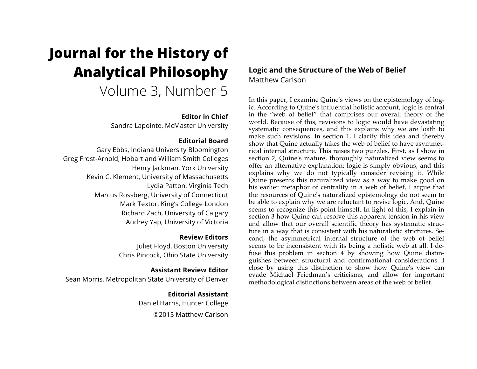# **Journal for the History of Analytical Philosophy**

Volume 3, Number 5

# **Editor in Chief**

Sandra Lapointe, McMaster University

# **Editorial Board**

Gary Ebbs, Indiana University Bloomington Greg Frost-Arnold, Hobart and William Smith Colleges Henry Jackman, York University Kevin C. Klement, University of Massachusetts Lydia Patton, Virginia Tech Marcus Rossberg, University of Connecticut Mark Textor, King's College London Richard Zach, University of Calgary Audrey Yap, University of Victoria

# **Review Editors**

Juliet Floyd, Boston University Chris Pincock, Ohio State University

# **Assistant Review Editor**

Sean Morris, Metropolitan State University of Denver

**Editorial Assistant** Daniel Harris, Hunter College ©2015 Matthew Carlson

# **Logic and the Structure of the Web of Belief** Matthew Carlson

In this paper, I examine Quine's views on the epistemology of logic. According to Quine's influential holistic account, logic is central in the "web of belief" that comprises our overall theory of the world. Because of this, revisions to logic would have devastating systematic consequences, and this explains why we are loath to make such revisions. In section 1, I clarify this idea and thereby show that Quine actually takes the web of belief to have asymmetrical internal structure. This raises two puzzles. First, as I show in section 2, Quine's mature, thoroughly naturalized view seems to offer an alternative explanation: logic is simply obvious, and this explains why we do not typically consider revising it. While Quine presents this naturalized view as a way to make good on his earlier metaphor of centrality in a web of belief, I argue that the resources of Quine's naturalized epistemology do not seem to be able to explain why we are reluctant to revise logic. And, Quine seems to recognize this point himself. In light of this, I explain in section 3 how Quine can resolve this apparent tension in his view and allow that our overall scientific theory has systematic structure in a way that is consistent with his naturalistic strictures. Second, the asymmetrical internal structure of the web of belief seems to be inconsistent with its being a holistic web at all. I defuse this problem in section 4 by showing how Quine distinguishes between structural and confirmational considerations. I close by using this distinction to show how Quine's view can evade Michael Friedman's criticisms, and allow for important methodological distinctions between areas of the web of belief.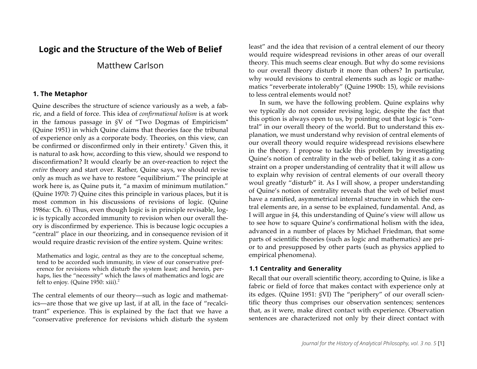# **Logic and the Structure of the Web of Belief**

# Matthew Carlson

#### **1. The Metaphor**

Quine describes the structure of science variously as a web, a fabric, and a field of force. This idea of *confirmational holism* is at work in the famous passage in *§*V of "Two Dogmas of Empiricism" (Quine 1951) in which Quine claims that theories face the tribunal of experience only as a corporate body. Theories, on this view, can be confirmed or disconfirmed only in their entirety. $^1$  Given this, it is natural to ask how, according to this view, should we respond to disconfirmation? It would clearly be an over-reaction to reject the *entire* theory and start over. Rather, Quine says, we should revise only as much as we have to restore "equilibrium." The principle at work here is, as Quine puts it, "a maxim of minimum mutilation." (Quine 1970: 7) Quine cites this principle in various places, but it is most common in his discussions of revisions of logic. (Quine 1986a: Ch. 6) Thus, even though logic is in principle revisable, logic is typically accorded immunity to revision when our overall theory is disconfirmed by experience. This is because logic occupies a "central" place in our theorizing, and in consequence revision of it would require drastic revision of the entire system. Quine writes:

Mathematics and logic, central as they are to the conceptual scheme, tend to be accorded such immunity, in view of our conservative preference for revisions which disturb the system least; and herein, perhaps, lies the "necessity" which the laws of mathematics and logic are felt to enjoy. (Quine  $1950$ : xiii).<sup>2</sup>

The central elements of our theory—such as logic and mathematics—are those that we give up last, if at all, in the face of "recalcitrant" experience. This is explained by the fact that we have a "conservative preference for revisions which disturb the system least" and the idea that revision of a central element of our theory would require widespread revisions in other areas of our overall theory. This much seems clear enough. But why do some revisions to our overall theory disturb it more than others? In particular, why would revisions to central elements such as logic or mathematics "reverberate intolerably" (Quine 1990b: 15), while revisions to less central elements would not?

In sum, we have the following problem. Quine explains why we typically do not consider revising logic, despite the fact that this option is always open to us, by pointing out that logic is "central" in our overall theory of the world. But to understand this explanation, we must understand why revision of central elements of our overall theory would require widespread revisions elsewhere in the theory. I propose to tackle this problem by investigating Quine's notion of centrality in the web of belief, taking it as a constraint on a proper understanding of centrality that it will allow us to explain why revision of central elements of our overall theory woul greatly "disturb" it. As I will show, a proper understanding of Quine's notion of centrality reveals that the web of belief must have a ramified, asymmetrical internal structure in which the central elements are, in a sense to be explained, fundamental. And, as I will argue in *§*4, this understanding of Quine's view will allow us to see how to square Quine's confirmational holism with the idea, advanced in a number of places by Michael Friedman, that some parts of scientific theories (such as logic and mathematics) are prior to and presupposed by other parts (such as physics applied to empirical phenomena).

#### **1.1 Centrality and Generality**

Recall that our overall scientific theory, according to Quine, is like a fabric or field of force that makes contact with experience only at its edges. (Quine 1951: *§*VI) The "periphery" of our overall scientific theory thus comprises our observation sentences; sentences that, as it were, make direct contact with experience. Observation sentences are characterized not only by their direct contact with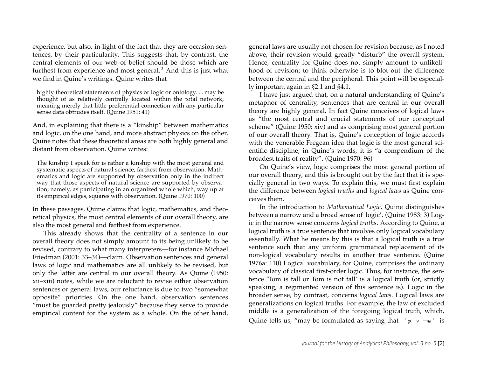experience, but also, in light of the fact that they are occasion sentences, by their particularity. This suggests that, by contrast, the central elements of our web of belief should be those which are furthest from experience and most general. <sup>3</sup> And this is just what we find in Quine's writings. Quine writes that

highly theoretical statements of physics or logic or ontology. . . may be thought of as relatively centrally located within the total network, meaning merely that little preferential connection with any particular sense data obtrudes itself. (Quine 1951: 41)

And, in explaining that there is a "kinship" between mathematics and logic, on the one hand, and more abstract physics on the other, Quine notes that these theoretical areas are both highly general and distant from observation. Quine writes:

The kinship I speak for is rather a kinship with the most general and systematic aspects of natural science, farthest from observation. Mathematics and logic are supported by observation only in the indirect way that those aspects of natural science are supported by observation; namely, as participating in an organized whole which, way up at its empirical edges, squares with observation. (Quine 1970: 100)

In these passages, Quine claims that logic, mathematics, and theoretical physics, the most central elements of our overall theory, are also the most general and farthest from experience.

This already shows that the centrality of a sentence in our overall theory does not simply amount to its being unlikely to be revised, contrary to what many interpreters—for instance Michael Friedman (2001: 33–34)—claim. Observation sentences and general laws of logic and mathematics are all unlikely to be revised, but only the latter are central in our overall theory. As Quine (1950: xii–xiii) notes, while we are reluctant to revise either observation sentences or general laws, our reluctance is due to two "somewhat opposite" priorities. On the one hand, observation sentences "must be guarded pretty jealously" because they serve to provide empirical content for the system as a whole. On the other hand, general laws are usually not chosen for revision because, as I noted above, their revision would greatly "disturb" the overall system. Hence, centrality for Quine does not simply amount to unlikelihood of revision; to think otherwise is to blot out the difference between the central and the peripheral. This point will be especially important again in *§*2.1 and *§*4.1.

I have just argued that, on a natural understanding of Quine's metaphor of centrality, sentences that are central in our overall theory are highly general. In fact Quine conceives of logical laws as "the most central and crucial statements of our conceptual scheme" (Quine 1950: xiv) and as comprising most general portion of our overall theory. That is, Quine's conception of logic accords with the venerable Fregean idea that logic is the most general scientific discipline; in Quine's words, it is "a compendium of the broadest traits of reality". (Quine 1970: 96)

On Quine's view, logic comprises the most general portion of our overall theory, and this is brought out by the fact that it is specially general in two ways. To explain this, we must first explain the difference between *logical truths* and *logical laws* as Quine conceives them.

In the introduction to *Mathematical Logic*, Quine distinguishes between a narrow and a broad sense of 'logic'. (Quine 1983: 3) Logic in the narrow sense concerns *logical truths*. According to Quine, a logical truth is a true sentence that involves only logical vocabulary essentially. What he means by this is that a logical truth is a true sentence such that any uniform grammatical replacement of its non-logical vocabulary results in another true sentence. (Quine 1976a: 110) Logical vocabulary, for Quine, comprises the ordinary vocabulary of classical first-order logic. Thus, for instance, the sentence 'Tom is tall or Tom is not tall' is a logical truth (or, strictly speaking, a regimented version of this sentence is). Logic in the broader sense, by contrast, concerns *logical laws*. Logical laws are generalizations on logical truths. For example, the law of excluded middle is a generalization of the foregoing logical truth, which, Quine tells us, "may be formulated as saying that  $\lceil \varphi \lor \neg \varphi \rceil$  is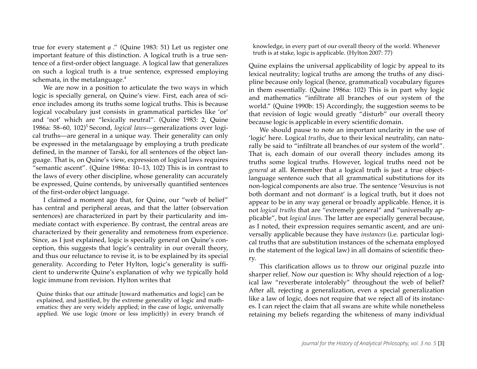true for every statement *φ* ." (Quine 1983: 51) Let us register one important feature of this distinction. A logical truth is a true sentence of a first-order object language. A logical law that generalizes on such a logical truth is a true sentence, expressed employing schemata, in the metalanguage.<sup>4</sup>

We are now in a position to articulate the two ways in which logic is specially general, on Quine's view. First, each area of science includes among its truths some logical truths. This is because logical vocabulary just consists in grammatical particles like 'or' and 'not' which are "lexically neutral". (Quine 1983: 2, Quine 1986a: 58–60, 102)<sup>5</sup> Second, *logical laws*—generalizations over logical truths—are general in a unique way. Their generality can only be expressed in the metalanguage by employing a truth predicate defined, in the manner of Tarski, for all sentences of the object language. That is, on Quine's view, expression of logical laws requires "semantic ascent". (Quine 1986a: 10–13, 102) This is in contrast to the laws of every other discipline, whose generality can accurately be expressed, Quine contends, by universally quantified sentences of the first-order object language.

I claimed a moment ago that, for Quine, our "web of belief" has central and peripheral areas, and that the latter (observation sentences) are characterized in part by their particularity and immediate contact with experience. By contrast, the central areas are characterized by their generality and remoteness from experience. Since, as I just explained, logic is specially general on Quine's conception, this suggests that logic's centrality in our overall theory, and thus our reluctance to revise it, is to be explained by its special generality. According to Peter Hylton, logic's generality is sufficient to underwrite Quine's explanation of why we typically hold logic immune from revision. Hylton writes that

Quine thinks that our attitude [toward mathematics and logic] can be explained, and justified, by the extreme generality of logic and mathematics: they are very widely applied; in the case of logic, universally applied. We use logic (more or less implicitly) in every branch of knowledge, in every part of our overall theory of the world. Whenever truth is at stake, logic is applicable. (Hylton 2007: 77)

Quine explains the universal applicability of logic by appeal to its lexical neutrality; logical truths are among the truths of any discipline because only logical (hence, grammatical) vocabulary figures in them essentially. (Quine 1986a: 102) This is in part why logic and mathematics "infiltrate all branches of our system of the world." (Quine 1990b: 15) Accordingly, the suggestion seems to be that revision of logic would greatly "disturb" our overall theory because logic is applicable in every scientific domain.

We should pause to note an important unclarity in the use of 'logic' here. Logical *truths*, due to their lexical neutrality, can naturally be said to "infiltrate all branches of our system of the world". That is, each domain of our overall theory includes among its truths some logical truths. However, logical truths need not be *general* at all. Remember that a logical truth is just a true objectlanguage sentence such that all grammatical substitutions for its non-logical components are also true. The sentence 'Vesuvius is not both dormant and not dormant' is a logical truth, but it does not appear to be in any way general or broadly applicable. Hence, it is not *logical truths* that are "extremely general" and "universally applicable", but *logical laws*. The latter are especially general because, as I noted, their expression requires semantic ascent, and are universally applicable because they have *instances* (i.e. particular logical truths that are substitution instances of the schemata employed in the statement of the logical law) in all domains of scientific theory.

This clarification allows us to throw our original puzzle into sharper relief. Now our question is: Why should rejection of a logical law "reverberate intolerably" throughout the web of belief? After all, rejecting a generalization, even a special generalization like a law of logic, does not require that we reject all of its instances. I can reject the claim that all swans are white while nonetheless retaining my beliefs regarding the whiteness of many individual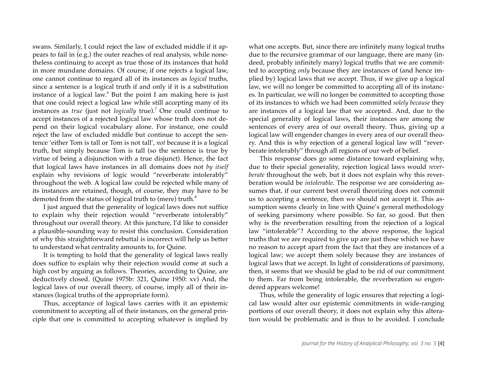swans. Similarly, I could reject the law of excluded middle if it appears to fail in (e.g.) the outer reaches of real analysis, while nonetheless continuing to accept as true those of its instances that hold in more mundane domains. Of course, if one rejects a logical law, one cannot continue to regard all of its instances as *logical* truths, since a sentence is a logical truth if and only if it is a substitution instance of a logical law. <sup>6</sup> But the point I am making here is just that one could reject a logical law while still accepting many of its instances as *true* (just not *logically* true).<sup>7</sup> One could continue to accept instances of a rejected logical law whose truth does not depend on their logical vocabulary alone. For instance, one could reject the law of excluded middle but continue to accept the sentence 'either Tom is tall or Tom is not tall', *not* because it is a logical truth, but simply because Tom is tall (so the sentence is true by virtue of being a disjunction with a true disjunct). Hence, the fact that logical laws have instances in all domains does not *by itself* explain why revisions of logic would "reverberate intolerably" throughout the web. A logical law could be rejected while many of its instances are retained, though, of course, they may have to be demoted from the status of logical truth to (mere) truth.<sup>8</sup>

I just argued that the generality of logical laws does not suffice to explain why their rejection would "reverberate intolerably" throughout our overall theory. At this juncture, I'd like to consider a plausible-sounding way to resist this conclusion. Consideration of why this straightforward rebuttal is incorrect will help us better to understand what centrality amounts to, for Quine.

It is tempting to hold that the generality of logical laws really does suffice to explain why their rejection would come at such a high cost by arguing as follows. Theories, according to Quine, are deductively closed. (Quine 1975b: 321, Quine 1950: xv) And, the logical laws of our overall theory, of course, imply all of their instances (logical truths of the appropriate form).

Thus, acceptance of logical laws carries with it an epistemic commitment to accepting all of their instances, on the general principle that one is committed to accepting whatever is implied by what one accepts. But, since there are infinitely many logical truths due to the recursive grammar of our language, there are many (indeed, probably infinitely many) logical truths that we are committed to accepting *only* because they are instances of (and hence implied by) logical laws that we accept. Thus, if we give up a logical law, we will no longer be committed to accepting all of its instances. In particular, we will no longer be committed to accepting those of its instances to which we had been committed *solely because* they are instances of a logical law that we accepted. And, due to the special generality of logical laws, their instances are among the sentences of every area of our overall theory. Thus, giving up a logical law will engender changes in every area of our overall theory. And this is why rejection of a general logical law will "reverberate intolerably" through all regions of our web of belief.

This response does go some distance toward explaining why, due to their special generality, rejection logical laws would *reverberate* throughout the web, but it does not explain why this reverberation would be *intolerable*. The response we are considering assumes that, if our current best overall theorizing does not commit us to accepting a sentence, then we should not accept it. This assumption seems clearly in line with Quine's general methodology of seeking parsimony where possible. So far, so good. But then why is the reverberation resulting from the rejection of a logical law "intolerable"? According to the above response, the logical truths that we are required to give up are just those which we have no reason to accept apart from the fact that they are instances of a logical law; we accept them solely because they are instances of logical laws that we accept. In light of considerations of parsimony, then, it seems that we should be glad to be rid of our commitment to them. Far from being intolerable, the reverberation so engendered appears welcome!

Thus, while the generality of logic ensures that rejecting a logical law would alter our epistemic commitments in wide-ranging portions of our overall theory, it does not explain why this alteration would be problematic and is thus to be avoided. I conclude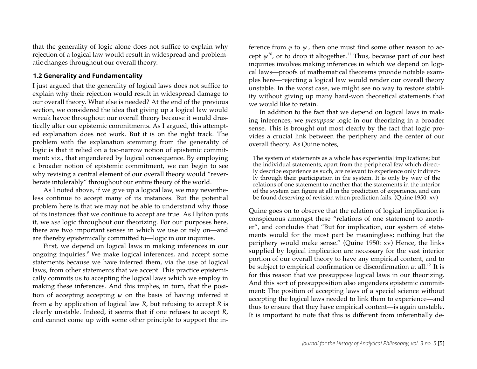that the generality of logic alone does not suffice to explain why rejection of a logical law would result in widespread and problematic changes throughout our overall theory.

#### **1.2 Generality and Fundamentality**

I just argued that the generality of logical laws does not suffice to explain why their rejection would result in widespread damage to our overall theory. What else is needed? At the end of the previous section, we considered the idea that giving up a logical law would wreak havoc throughout our overall theory because it would drastically alter our epistemic commitments. As I argued, this attempted explanation does not work. But it is on the right track. The problem with the explanation stemming from the generality of logic is that it relied on a too-narrow notion of epistemic commitment; viz., that engendered by logical consequence. By employing a broader notion of epistemic commitment, we can begin to see why revising a central element of our overall theory would "reverberate intolerably" throughout our entire theory of the world.

As I noted above, if we give up a logical law, we may nevertheless continue to accept many of its instances. But the potential problem here is that we may not be able to understand why those of its instances that we continue to accept are true. As Hylton puts it, we *use* logic throughout our theorizing. For our purposes here, there are two important senses in which we use or rely on—and are thereby epistemically committed to—logic in our inquiries.

First, we depend on logical laws in making inferences in our ongoing inquiries.<sup>9</sup> We make logical inferences, and accept some statements because we have inferred them, via the use of logical laws, from other statements that we accept. This practice epistemically commits us to accepting the logical laws which we employ in making these inferences. And this implies, in turn, that the position of accepting accepting *ψ* on the basis of having inferred it from *φ* by application of logical law *R*, but refusing to accept *R* is clearly unstable. Indeed, it seems that if one refuses to accept *R*, and cannot come up with some other principle to support the inference from *φ* to *ψ* , then one must find some other reason to accept  $\psi^{10}$ , or to drop it altogether.<sup>11</sup> Thus, because part of our best inquiries involves making inferences in which we depend on logical laws—proofs of mathematical theorems provide notable examples here—rejecting a logical law would render our overall theory unstable. In the worst case, we might see no way to restore stability without giving up many hard-won theoretical statements that we would like to retain.

In addition to the fact that we depend on logical laws in making inferences, we *presuppose* logic in our theorizing in a broader sense. This is brought out most clearly by the fact that logic provides a crucial link between the periphery and the center of our overall theory. As Quine notes,

The system of statements as a whole has experiential implications; but the individual statements, apart from the peripheral few which directly describe experience as such, are relevant to experience only indirectly through their participation in the system. It is only by way of the relations of one statement to another that the statements in the interior of the system can figure at all in the prediction of experience, and can be found deserving of revision when prediction fails. (Quine 1950: xv)

Quine goes on to observe that the relation of logical implication is conspicuous amongst these "relations of one statement to another", and concludes that "But for implication, our system of statements would for the most part be meaningless; nothing but the periphery would make sense." (Quine 1950: xv) Hence, the links supplied by logical implication are necessary for the vast interior portion of our overall theory to have any empirical content, and to be subject to empirical confirmation or disconfirmation at all.<sup>12</sup> It is for this reason that we presuppose logical laws in our theorizing. And this sort of presupposition also engenders epistemic commitment: The position of accepting laws of a special science without accepting the logical laws needed to link them to experience—and thus to ensure that they have empirical content—is again unstable. It is important to note that this is different from inferentially de-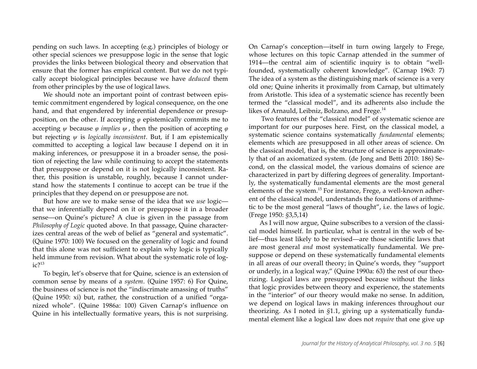pending on such laws. In accepting (e.g.) principles of biology or other special sciences we presuppose logic in the sense that logic provides the links between biological theory and observation that ensure that the former has empirical content. But we do not typically accept biological principles because we have *deduced* them from other principles by the use of logical laws.

We should note an important point of contrast between epistemic commitment engendered by logical consequence, on the one hand, and that engendered by inferential dependence or presupposition, on the other. If accepting *φ* epistemically commits me to accepting *ψ* because *φ implies ψ* , then the position of accepting *φ* but rejecting *ψ* is *logically inconsistent*. But, if I am epistemically committed to accepting a logical law because I depend on it in making inferences, or presuppose it in a broader sense, the position of rejecting the law while continuing to accept the statements that presuppose or depend on it is not logically inconsistent. Rather, this position is unstable, roughly, because I cannot understand how the statements I continue to accept can be true if the principles that they depend on or presuppose are not.

But how are we to make sense of the idea that we *use* logic that we inferentially depend on it or presuppose it in a broader sense—on Quine's picture? A clue is given in the passage from *Philosophy of Logic* quoted above. In that passage, Quine characterizes central areas of the web of belief as "general and systematic". (Quine 1970: 100) We focused on the generality of logic and found that this alone was not sufficient to explain why logic is typically held immune from revision. What about the systematic role of log $i \cdot \zeta^{13}$ 

To begin, let's observe that for Quine, science is an extension of common sense by means of a *system*. (Quine 1957: 6) For Quine, the business of science is not the "indiscrimate amassing of truths" (Quine 1950: xi) but, rather, the construction of a unified "organized whole". (Quine 1986a: 100) Given Carnap's influence on Quine in his intellectually formative years, this is not surprising.

On Carnap's conception—itself in turn owing largely to Frege, whose lectures on this topic Carnap attended in the summer of 1914—the central aim of scientific inquiry is to obtain "wellfounded, systematically coherent knowledge". (Carnap 1963: 7) The idea of a system as the distinguishing mark of science is a very old one; Quine inherits it proximally from Carnap, but ultimately from Aristotle. This idea of a systematic science has recently been termed the "classical model", and its adherents also include the likes of Arnauld, Leibniz, Bolzano, and Frege.<sup>14</sup>

Two features of the "classical model" of systematic science are important for our purposes here. First, on the classical model, a systematic science contains systematically *fundamental* elements; elements which are presupposed in all other areas of science. On the classical model, that is, the structure of science is approximately that of an axiomatized system. (de Jong and Betti 2010: 186) Second, on the classical model, the various domains of science are characterized in part by differing degrees of generality. Importantly, the systematically fundamental elements are the most general elements of the system.15 For instance, Frege, a well-known adherent of the classical model, understands the foundations of arithmetic to be the most general "laws of thought", i.e. the laws of logic. (Frege 1950: *§*3,5,14)

As I will now argue, Quine subscribes to a version of the classical model himself. In particular, what is central in the web of belief—thus least likely to be revised—are those scientific laws that are most general *and* most systematically fundamental. We presuppose or depend on these systematically fundamental elements in all areas of our overall theory; in Quine's words, they "support or underly, in a logical way," (Quine 1990a: 63) the rest of our theorizing. Logical laws are presupposed because without the links that logic provides between theory and experience, the statements in the "interior" of our theory would make no sense. In addition, we depend on logical laws in making inferences throughout our theorizing. As I noted in *§*1.1, giving up a systematically fundamental element like a logical law does not *require* that one give up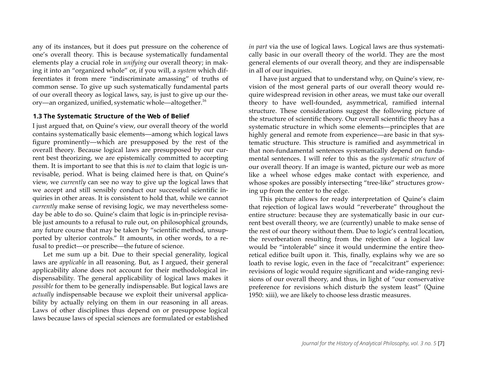any of its instances, but it does put pressure on the coherence of one's overall theory. This is because systematically fundamental elements play a crucial role in *unifying* our overall theory; in making it into an "organized whole" or, if you will, a *system* which differentiates it from mere "indiscriminate amassing" of truths of common sense. To give up such systematically fundamental parts of our overall theory as logical laws, say, is just to give up our theory—an organized, unified, systematic whole—altogether. 16

#### **1.3 The Systematic Structure of the Web of Belief**

I just argued that, on Quine's view, our overall theory of the world contains systematically basic elements—among which logical laws figure prominently—which are presupposed by the rest of the overall theory. Because logical laws are presupposed by our current best theorizing, we are epistemically committed to accepting them. It is important to see that this is *not* to claim that logic is unrevisable, period. What is being claimed here is that, on Quine's view, we *currently* can see no way to give up the logical laws that we accept and still sensibly conduct our successful scientific inquiries in other areas. It is consistent to hold that, while we cannot *currently* make sense of revising logic, we may nevertheless someday be able to do so. Quine's claim that logic is in-principle revisable just amounts to a refusal to rule out, on philosophical grounds, any future course that may be taken by "scientific method, unsupported by ulterior controls." It amounts, in other words, to a refusal to predict—or prescribe—the future of science.

Let me sum up a bit. Due to their special generality, logical laws are *applicable* in all reasoning. But, as I argued, their general applicability alone does not account for their methodological indispensability. The general applicability of logical laws makes it *possible* for them to be generally indispensable. But logical laws are *actually* indispensable because we exploit their universal applicability by actually relying on them in our reasoning in all areas. Laws of other disciplines thus depend on or presuppose logical laws because laws of special sciences are formulated or established

*in part* via the use of logical laws. Logical laws are thus systematically basic in our overall theory of the world. They are the most general elements of our overall theory, and they are indispensable in all of our inquiries.

I have just argued that to understand why, on Quine's view, revision of the most general parts of our overall theory would require widespread revision in other areas, we must take our overall theory to have well-founded, asymmetrical, ramified internal structure. These considerations suggest the following picture of the structure of scientific theory. Our overall scientific theory has a systematic structure in which some elements—principles that are highly general and remote from experience—are basic in that systematic structure. This structure is ramified and asymmetrical in that non-fundamental sentences systematically depend on fundamental sentences. I will refer to this as the *systematic structure* of our overall theory. If an image is wanted, picture our web as more like a wheel whose edges make contact with experience, and whose spokes are possibly intersecting "tree-like" structures growing up from the center to the edge.

This picture allows for ready interpretation of Quine's claim that rejection of logical laws would "reverberate" throughout the entire structure: because they are systematically basic in our current best overall theory, we are (currently) unable to make sense of the rest of our theory without them. Due to logic's central location, the reverberation resulting from the rejection of a logical law would be "intolerable" since it would undermine the entire theoretical edifice built upon it. This, finally, explains why we are so loath to revise logic, even in the face of "recalcitrant" experience: revisions of logic would require significant and wide-ranging revisions of our overall theory, and thus, in light of "our conservative preference for revisions which disturb the system least" (Quine 1950: xiii), we are likely to choose less drastic measures.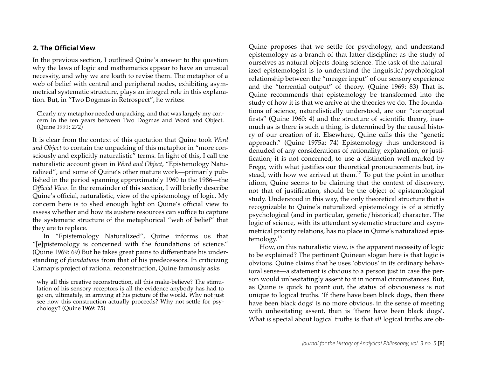#### **2. The Official View**

In the previous section, I outlined Quine's answer to the question why the laws of logic and mathematics appear to have an unusual necessity, and why we are loath to revise them. The metaphor of a web of belief with central and peripheral nodes, exhibiting asymmetrical systematic structure, plays an integral role in this explanation. But, in "Two Dogmas in Retrospect", he writes:

Clearly my metaphor needed unpacking, and that was largely my concern in the ten years between Two Dogmas and Word and Object. (Quine 1991: 272)

It is clear from the context of this quotation that Quine took *Word and Object* to contain the unpacking of this metaphor in "more consciously and explicitly naturalistic" terms. In light of this, I call the naturalistic account given in *Word and Object*, "Epistemology Naturalized", and some of Quine's other mature work—primarily published in the period spanning approximately 1960 to the 1986—the *Official View*. In the remainder of this section, I will briefly describe Quine's official, naturalistic, view of the epistemology of logic. My concern here is to shed enough light on Quine's official view to assess whether and how its austere resources can suffice to capture the systematic structure of the metaphorical "web of belief" that they are to replace.

In "Epistemology Naturalized", Quine informs us that "[e]pistemology is concerned with the foundations of science." (Quine 1969: 69) But he takes great pains to differentiate his understanding of *foundations* from that of his predecessors. In criticizing Carnap's project of rational reconstruction, Quine famously asks

why all this creative reconstruction, all this make-believe? The stimulation of his sensory receptors is all the evidence anybody has had to go on, ultimately, in arriving at his picture of the world. Why not just see how this construction actually proceeds? Why not settle for psychology? (Quine 1969: 75)

Quine proposes that we settle for psychology, and understand epistemology as a branch of that latter discipline; as the study of ourselves as natural objects doing science. The task of the naturalized epistemologist is to understand the linguistic/psychological relationship between the "meager input" of our sensory experience and the "torrential output" of theory. (Quine 1969: 83) That is, Quine recommends that epistemology be transformed into the study of how it is that we arrive at the theories we do. The foundations of science, naturalistically understood, are our "conceptual firsts" (Quine 1960: 4) and the structure of scientific theory, inasmuch as is there is such a thing, is determined by the causal history of our creation of it. Elsewhere, Quine calls this the "genetic approach." (Quine 1975a: 74) Epistemology thus understood is denuded of any considerations of rationality, explanation, or justification; it is not concerned, to use a distinction well-marked by Frege, with what justifies our theoretical pronouncements but, instead, with how we arrived at them.<sup>17</sup> To put the point in another idiom, Quine seems to be claiming that the context of discovery, not that of justification, should be the object of epistemological study. Understood in this way, the only theoretical structure that is recognizable to Quine's naturalized epistemology is of a strictly psychological (and in particular, genetic/historical) character. The logic of science, with its attendant systematic structure and asymmetrical priority relations, has no place in Quine's naturalized epistemology. 18

How, on this naturalistic view, is the apparent necessity of logic to be explained? The pertinent Quinean slogan here is that logic is obvious. Quine claims that he uses 'obvious' in its ordinary behavioral sense—a statement is obvious to a person just in case the person would unhesitatingly assent to it in normal circumstances. But, as Quine is quick to point out, the status of obviousness is not unique to logical truths. 'If there have been black dogs, then there have been black dogs' is no more obvious, in the sense of meeting with unhesitating assent, than is 'there have been black dogs'. What *is* special about logical truths is that *all* logical truths are ob-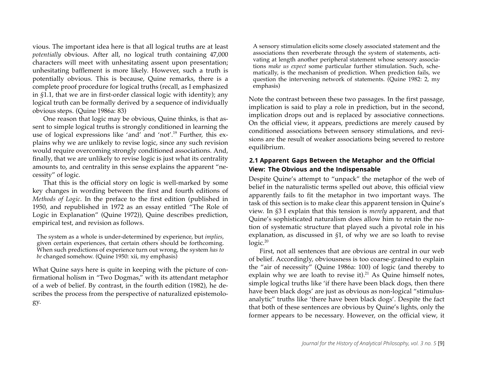vious. The important idea here is that all logical truths are at least *potentially* obvious. After all, no logical truth containing 47,000 characters will meet with unhesitating assent upon presentation; unhesitating bafflement is more likely. However, such a truth is potentially obvious. This is because, Quine remarks, there is a complete proof procedure for logical truths (recall, as I emphasized in *§*1.1, that we are in first-order classical logic with identity); any logical truth can be formally derived by a sequence of individually obvious steps. (Quine 1986a: 83)

One reason that logic may be obvious, Quine thinks, is that assent to simple logical truths is strongly conditioned in learning the use of logical expressions like 'and' and 'not'.19 Further, this explains why we are unlikely to revise logic, since any such revision would require overcoming strongly conditioned associations. And, finally, that we are unlikely to revise logic is just what its centrality amounts to, and centrality in this sense explains the apparent "necessity" of logic.

That this is the official story on logic is well-marked by some key changes in wording between the first and fourth editions of *Methods of Logic*. In the preface to the first edition (published in 1950, and republished in 1972 as an essay entitled "The Role of Logic in Explanation" (Quine 1972)), Quine describes prediction, empirical test, and revision as follows.

The system as a whole is under-determined by experience, but *implies*, given certain experiences, that certain others should be forthcoming. When such predictions of experience turn out wrong, the system *has to be* changed somehow. (Quine 1950: xii, my emphasis)

What Quine says here is quite in keeping with the picture of confirmational holism in "Two Dogmas," with its attendant metaphor of a web of belief. By contrast, in the fourth edition (1982), he describes the process from the perspective of naturalized epistemology.

A sensory stimulation elicits some closely associated statement and the associations then reverberate through the system of statements, activating at length another peripheral statement whose sensory associations *make us expect* some particular further stimulation. Such, schematically, is the mechanism of prediction. When prediction fails, we question the intervening network of statements. (Quine 1982: 2, my emphasis)

Note the contrast between these two passages. In the first passage, implication is said to play a role in prediction, but in the second, implication drops out and is replaced by associative connections. On the official view, it appears, predictions are merely caused by conditioned associations between sensory stimulations, and revisions are the result of weaker associations being severed to restore equilibrium.

### **2.1 Apparent Gaps Between the Metaphor and the Official View: The Obvious and the Indispensable**

Despite Quine's attempt to "unpack" the metaphor of the web of belief in the naturalistic terms spelled out above, this official view apparently fails to fit the metaphor in two important ways. The task of this section is to make clear this apparent tension in Quine's view. In *§*3 I explain that this tension is *merely* apparent, and that Quine's sophisticated naturalism does allow him to retain the notion of systematic structure that played such a pivotal role in his explanation, as discussed in *§*1, of why we are so loath to revise  $logic.<sup>20</sup>$ 

First, not all sentences that are obvious are central in our web of belief. Accordingly, obviousness is too coarse-grained to explain the "air of necessity" (Quine 1986a: 100) of logic (and thereby to explain why we are loath to revise it). $^{21}$  As Quine himself notes, simple logical truths like 'if there have been black dogs, then there have been black dogs' are just as obvious as non-logical "stimulusanalytic" truths like 'there have been black dogs'. Despite the fact that both of these sentences are obvious by Quine's lights, only the former appears to be necessary. However, on the official view, it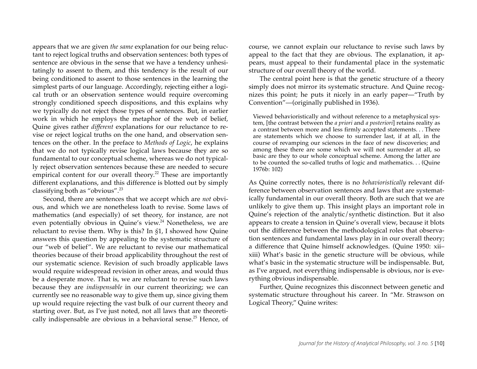appears that we are given *the same* explanation for our being reluctant to reject logical truths and observation sentences: both types of sentence are obvious in the sense that we have a tendency unhesitatingly to assent to them, and this tendency is the result of our being conditioned to assent to those sentences in the learning the simplest parts of our language. Accordingly, rejecting either a logical truth or an observation sentence would require overcoming strongly conditioned speech dispositions, and this explains why we typically do not reject those types of sentences. But, in earlier work in which he employs the metaphor of the web of belief, Quine gives rather *different* explanations for our reluctance to revise or reject logical truths on the one hand, and observation sentences on the other. In the preface to *Methods of Logic*, he explains that we do not typically revise logical laws because they are so fundamental to our conceptual scheme, whereas we do not typically reject observation sentences because these are needed to secure empirical content for our overall theory.<sup>22</sup> These are importantly different explanations, and this difference is blotted out by simply classifying both as "obvious".<sup>23</sup>

Second, there are sentences that we accept which are *not* obvious, and which we are nonetheless loath to revise. Some laws of mathematics (and especially) of set theory, for instance, are not even potentially obvious in Quine's view. <sup>24</sup> Nonetheless, we are reluctant to revise them. Why is this? In *§*1, I showed how Quine answers this question by appealing to the systematic structure of our "web of belief". We are reluctant to revise our mathematical theories because of their broad applicability throughout the rest of our systematic science. Revision of such broadly applicable laws would require widespread revision in other areas, and would thus be a desperate move. That is, we are reluctant to revise such laws because they are *indispensable* in our current theorizing; we can currently see no reasonable way to give them up, since giving them up would require rejecting the vast bulk of our current theory and starting over. But, as I've just noted, not all laws that are theoretically indispensable are obvious in a behavioral sense.<sup>25</sup> Hence, of course, we cannot explain our reluctance to revise such laws by appeal to the fact that they are obvious. The explanation, it appears, must appeal to their fundamental place in the systematic structure of our overall theory of the world.

The central point here is that the genetic structure of a theory simply does not mirror its systematic structure. And Quine recognizes this point; he puts it nicely in an early paper—"Truth by Convention"—(originally published in 1936).

Viewed behavioristically and without reference to a metaphysical system, [the contrast between the *a priori* and *a posteriori*] retains reality as a contrast between more and less firmly accepted statements. . . There are statements which we choose to surrender last, if at all, in the course of revamping our sciences in the face of new discoveries; and among these there are some which we will not surrender at all, so basic are they to our whole conceptual scheme. Among the latter are to be counted the so-called truths of logic and mathematics. . . (Quine 1976b: 102)

As Quine correctly notes, there is no *behavioristically* relevant difference between observation sentences and laws that are systematically fundamental in our overall theory. Both are such that we are unlikely to give them up. This insight plays an important role in Quine's rejection of the analytic/synthetic distinction. But it also appears to create a tension in Quine's overall view, because it blots out the difference between the methodological roles that observation sentences and fundamental laws play in in our overall theory; a difference that Quine himself acknowledges. (Quine 1950: xii– xiii) What's basic in the genetic structure will be obvious, while what's basic in the systematic structure will be indispensable. But, as I've argued, not everything indispensable is obvious, nor is everything obvious indispensable.

Further, Quine recognizes this disconnect between genetic and systematic structure throughout his career. In "Mr. Strawson on Logical Theory," Quine writes: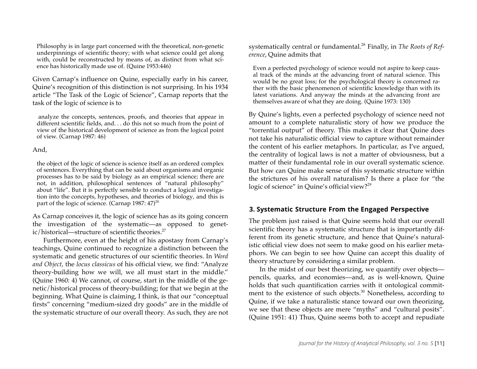Philosophy is in large part concerned with the theoretical, non-genetic underpinnings of scientific theory; with what science could get along with, could be reconstructed by means of, as distinct from what science has historically made use of. (Quine 1953:446)

Given Carnap's influence on Quine, especially early in his career, Quine's recognition of this distinction is not surprising. In his 1934 article "The Task of the Logic of Science", Carnap reports that the task of the logic of science is to

analyze the concepts, sentences, proofs, and theories that appear in different scientific fields, and. . . do this not so much from the point of view of the historical development of science as from the logical point of view. (Carnap 1987: 46)

#### And,

the object of the logic of science is science itself as an ordered complex of sentences. Everything that can be said about organisms and organic processes has to be said by biology as an empirical science; there are not, in addition, philosophical sentences of "natural philosophy" about "life". But it is perfectly sensible to conduct a logical investigation into the concepts, hypotheses, and theories of biology, and this is part of the logic of science. (Carnap  $1987: 47)^{26}$ 

As Carnap conceives it, the logic of science has as its going concern the investigation of the systematic—as opposed to genetic/historical—structure of scientific theories.<sup>27</sup>

Furthermore, even at the height of his apostasy from Carnap's teachings, Quine continued to recognize a distinction between the systematic and genetic structures of our scientific theories. In *Word and Object*, the *locus classicus* of his official view, we find: "Analyze theory-building how we will, we all must start in the middle." (Quine 1960: 4) We cannot, of course, start in the middle of the genetic/historical process of theory-building; for that we begin at the beginning. What Quine is claiming, I think, is that our "conceptual firsts" concerning "medium-sized dry goods" are in the middle of the systematic structure of our overall theory. As such, they are not systematically central or fundamental.28 Finally, in *The Roots of Reference*, Quine admits that

Even a perfected psychology of science would not aspire to keep causal track of the minds at the advancing front of natural science. This would be no great loss; for the psychological theory is concerned rather with the basic phenomenon of scientific knowledge than with its latest variations. And anyway the minds at the advancing front are themselves aware of what they are doing. (Quine 1973: 130)

By Quine's lights, even a perfected psychology of science need not amount to a complete naturalistic story of how we produce the "torrential output" of theory. This makes it clear that Quine does not take his naturalistic official view to capture without remainder the content of his earlier metaphors. In particular, as I've argued, the centrality of logical laws is not a matter of obviousness, but a matter of their fundamental role in our overall systematic science. But how can Quine make sense of this systematic structure within the strictures of his overall naturalism? Is there a place for "the logic of science" in Quine's official view?<sup>29</sup>

## **3. Systematic Structure From the Engaged Perspective**

The problem just raised is that Quine seems hold that our overall scientific theory has a systematic structure that is importantly different from its genetic structure, and hence that Quine's naturalistic official view does not seem to make good on his earlier metaphors. We can begin to see how Quine can accept this duality of theory structure by considering a similar problem.

In the midst of our best theorizing, we quantify over objects pencils, quarks, and economies—and, as is well-known, Quine holds that such quantification carries with it ontological commitment to the existence of such objects.<sup>30</sup> Nonetheless, according to Quine, if we take a naturalistic stance toward our own theorizing, we see that these objects are mere "myths" and "cultural posits". (Quine 1951: 41) Thus, Quine seems both to accept and repudiate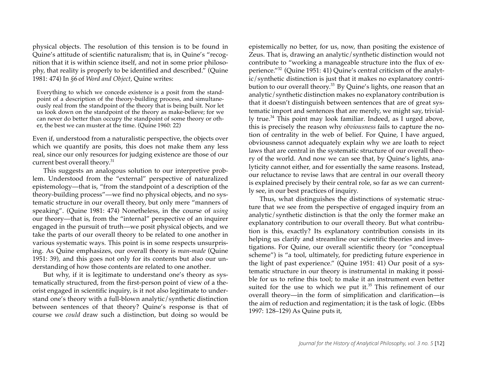physical objects. The resolution of this tension is to be found in Quine's attitude of scientific naturalism; that is, in Quine's "recognition that it is within science itself, and not in some prior philosophy, that reality is properly to be identified and described." (Quine 1981: 474) In *§*6 of *Word and Object*, Quine writes:

Everything to which we concede existence is a posit from the standpoint of a description of the theory-building process, and simultaneously real from the standpoint of the theory that is being built. Nor let us look down on the standpoint of the theory as make-believe; for we can never do better than occupy the standpoint of some theory or other, the best we can muster at the time. (Quine 1960: 22)

Even if, understood from a naturalistic perspective, the objects over which we quantify are posits, this does not make them any less real, since our only resources for judging existence are those of our current best overall theory. 31

This suggests an analogous solution to our interpretive problem. Understood from the "external" perspective of naturalized epistemology—that is, "from the standpoint of a description of the theory-building process"—we find no physical objects, and no systematic structure in our overall theory, but only mere "manners of speaking". (Quine 1981: 474) Nonetheless, in the course of *using* our theory—that is, from the "internal" perspective of an inquirer engaged in the pursuit of truth—we posit physical objects, and we take the parts of our overall theory to be related to one another in various systematic ways. This point is in some respects unsurprising. As Quine emphasizes, our overall theory is *man-made* (Quine 1951: 39), and this goes not only for its contents but also our understanding of how those contents are related to one another.

But why, if it is legitimate to understand one's theory as systematically structured, from the first-person point of view of a theorist engaged in scientific inquiry, is it not also legitimate to understand one's theory with a full-blown analytic/synthetic distinction between sentences of that theory? Quine's response is that of course we *could* draw such a distinction, but doing so would be epistemically no better, for us, now, than positing the existence of Zeus. That is, drawing an analytic/synthetic distinction would not contribute to "working a manageable structure into the flux of experience."32 (Quine 1951: 41) Quine's central criticism of the analytic/synthetic distinction is just that it makes no explanatory contribution to our overall theory.<sup>33</sup> By Quine's lights, one reason that an analytic/synthetic distinction makes no explanatory contribution is that it doesn't distinguish between sentences that are of great systematic import and sentences that are merely, we might say, trivially true.34 This point may look familiar. Indeed, as I urged above, this is precisely the reason why *obviousness* fails to capture the notion of centrality in the web of belief. For Quine, I have argued, obviousness cannot adequately explain why we are loath to reject laws that are central in the systematic structure of our overall theory of the world. And now we can see that, by Quine's lights, analyticity cannot either, and for essentially the same reasons. Instead, our reluctance to revise laws that are central in our overall theory is explained precisely by their central role, so far as we can currently see, in our best practices of inquiry.

Thus, what distinguishes the distinctions of systematic structure that we see from the perspective of engaged inquiry from an analytic/synthetic distinction is that the only the former make an explanatory contribution to our overall theory. But what contribution is this, exactly? Its explanatory contribution consists in its helping us clarify and streamline our scientific theories and investigations. For Quine, our overall scientific theory (or "conceptual scheme") is "a tool, ultimately, for predicting future experience in the light of past experience." (Quine 1951: 41) Our posit of a systematic structure in our theory is instrumental in making it possible for us to refine this tool; to make it an instrument even better suited for the use to which we put it. $35$  This refinement of our overall theory—in the form of simplification and clarification—is the aim of reduction and regimentation; it is the task of logic. (Ebbs 1997: 128–129) As Quine puts it,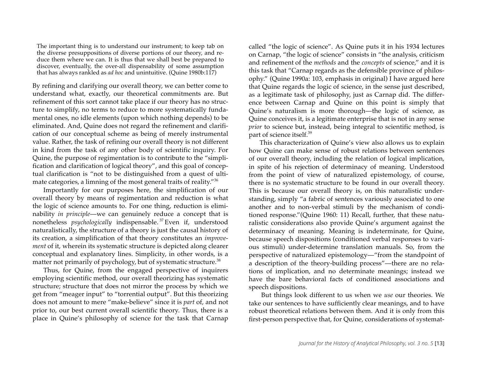The important thing is to understand our instrument; to keep tab on the diverse presuppositions of diverse portions of our theory, and reduce them where we can. It is thus that we shall best be prepared to discover, eventually, the over-all dispensability of some assumption that has always rankled as *ad hoc* and unintuitive. (Quine 1980b:117)

By refining and clarifying our overall theory, we can better come to understand what, exactly, our theoretical commitments are. But refinement of this sort cannot take place if our theory has no structure to simplify, no terms to reduce to more systematically fundamental ones, no idle elements (upon which nothing depends) to be eliminated. And, Quine does not regard the refinement and clarification of our conceptual scheme as being of merely instrumental value. Rather, the task of refining our overall theory is not different in kind from the task of any other body of scientific inquiry. For Quine, the purpose of regimentation is to contribute to the "simplification and clarification of logical theory", and this goal of conceptual clarification is "not to be distinguished from a quest of ultimate categories, a limning of the most general traits of reality."36

Importantly for our purposes here, the simplification of our overall theory by means of regimentation and reduction is what the logic of science amounts to. For one thing, reduction is eliminability *in principle*—we can genuinely reduce a concept that is nonetheless *psychologically* indispensable. <sup>37</sup> Even if, understood naturalistically, the structure of a theory is just the causal history of its creation, a simplification of that theory constitutes an *improvement* of it, wherein its systematic structure is depicted along clearer conceptual and explanatory lines. Simplicity, in other words, is a matter not primarily of psychology, but of systematic structure.<sup>38</sup>

Thus, for Quine, from the engaged perspective of inquirers employing scientific method, our overall theorizing has systematic structure; structure that does not mirror the process by which we get from "meager input" to "torrential output". But this theorizing does not amount to mere "make-believe" since it is *part* of, and not prior to, our best current overall scientific theory. Thus, there is a place in Quine's philosophy of science for the task that Carnap called "the logic of science". As Quine puts it in his 1934 lectures on Carnap, "the logic of science" consists in "the analysis, criticism and refinement of the *methods* and the *concepts* of science," and it is this task that "Carnap regards as the defensible province of philosophy." (Quine 1990a: 103, emphasis in original) I have argued here that Quine regards the logic of science, in the sense just described, as a legitimate task of philosophy, just as Carnap did. The difference between Carnap and Quine on this point is simply that Quine's naturalism is more thorough—the logic of science, as Quine conceives it, is a legitimate enterprise that is not in any sense *prior* to science but, instead, being integral to scientific method, is part of science itself.39

This characterization of Quine's view also allows us to explain how Quine can make sense of robust relations between sentences of our overall theory, including the relation of logical implication, in spite of his rejection of determinacy of meaning. Understood from the point of view of naturalized epistemology, of course, there is no systematic structure to be found in our overall theory. This is because our overall theory is, on this naturalistic understanding, simply "a fabric of sentences variously associated to one another and to non-verbal stimuli by the mechanism of conditioned response."(Quine 1960: 11) Recall, further, that these naturalistic considerations also provide Quine's argument against the determinacy of meaning. Meaning is indeterminate, for Quine, because speech dispositions (conditioned verbal responses to various stimuli) under-determine translation manuals. So, from the perspective of naturalized epistemology—"from the standpoint of a description of the theory-building process"—there are no relations of implication, and no determinate meanings; instead we have the bare behavioral facts of conditioned associations and speech dispositions.

But things look different to us when we *use* our theories. We take our sentences to have sufficiently clear meanings, and to have robust theoretical relations between them. And it is only from this first-person perspective that, for Quine, considerations of systemat-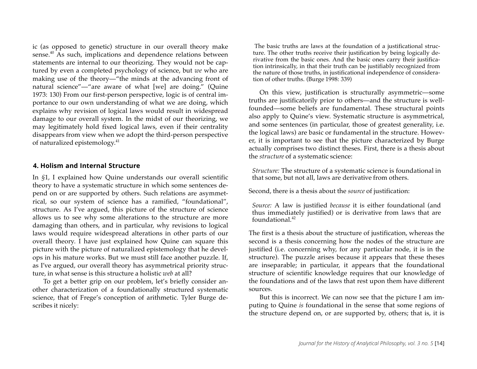ic (as opposed to genetic) structure in our overall theory make sense.<sup>40</sup> As such, implications and dependence relations between statements are internal to our theorizing. They would not be captured by even a completed psychology of science, but *we* who are making use of the theory—"the minds at the advancing front of natural science"—"are aware of what [we] are doing." (Quine 1973: 130) From our first-person perspective, logic is of central importance to our own understanding of what we are doing, which explains why revision of logical laws would result in widespread damage to our overall system. In the midst of our theorizing, we may legitimately hold fixed logical laws, even if their centrality disappears from view when we adopt the third-person perspective of naturalized epistemology. 41

#### **4. Holism and Internal Structure**

In *§*1, I explained how Quine understands our overall scientific theory to have a systematic structure in which some sentences depend on or are supported by others. Such relations are asymmetrical, so our system of science has a ramified, "foundational", structure. As I've argued, this picture of the structure of science allows us to see why some alterations to the structure are more damaging than others, and in particular, why revisions to logical laws would require widespread alterations in other parts of our overall theory. I have just explained how Quine can square this picture with the picture of naturalized epistemology that he develops in his mature works. But we must still face another puzzle. If, as I've argued, our overall theory has asymmetrical priority structure, in what sense is this structure a holistic *web* at all?

To get a better grip on our problem, let's briefly consider another characterization of a foundationally structured systematic science, that of Frege's conception of arithmetic. Tyler Burge describes it nicely:

The basic truths are laws at the foundation of a justificational structure. The other truths receive their justification by being logically derivative from the basic ones. And the basic ones carry their justification intrinsically, in that their truth can be justifiably recognized from the nature of those truths, in justificational independence of consideration of other truths. (Burge 1998: 339)

On this view, justification is structurally asymmetric—some truths are justificatorily prior to others—and the structure is wellfounded—some beliefs are fundamental. These structural points also apply to Quine's view. Systematic structure is asymmetrical, and some sentences (in particular, those of greatest generality, i.e. the logical laws) are basic or fundamental in the structure. However, it is important to see that the picture characterized by Burge actually comprises two distinct theses. First, there is a thesis about the *structure* of a systematic science:

*Structure:* The structure of a systematic science is foundational in that some, but not all, laws are derivative from others.

Second, there is a thesis about the *source* of justification:

*Source:* A law is justified *because* it is either foundational (and thus immediately justified) or is derivative from laws that are  $f$ oundational. $42$ 

The first is a thesis about the structure of justification, whereas the second is a thesis concerning how the nodes of the structure are justified (i.e. concerning why, for any particular node, it is in the structure). The puzzle arises because it appears that these theses are inseparable; in particular, it appears that the foundational structure of scientific knowledge requires that our knowledge of the foundations and of the laws that rest upon them have different sources.

But this is incorrect. We can now see that the picture I am imputing to Quine *is* foundational in the sense that some regions of the structure depend on, or are supported by, others; that is, it is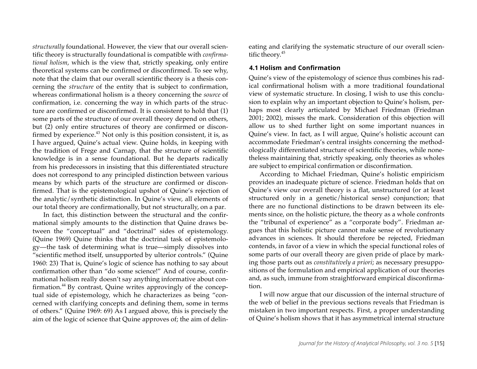*structurally* foundational. However, the view that our overall scientific theory is structurally foundational is compatible with *confirmational holism*, which is the view that, strictly speaking, only entire theoretical systems can be confirmed or disconfirmed. To see why, note that the claim that our overall scientific theory is a thesis concerning the *structure* of the entity that is subject to confirmation, whereas confirmational holism is a theory concerning the *source* of confirmation, i.e. concerning the way in which parts of the structure are confirmed or disconfirmed. It is consistent to hold that (1) some parts of the structure of our overall theory depend on others, but (2) only entire structures of theory are confirmed or disconfirmed by experience.<sup>43</sup> Not only is this position consistent, it is, as I have argued, Quine's actual view. Quine holds, in keeping with the tradition of Frege and Carnap, that the structure of scientific knowledge is in a sense foundational. But he departs radically from his predecessors in insisting that this differentiated structure does not correspond to any principled distinction between various means by which parts of the structure are confirmed or disconfirmed. That is the epistemological upshot of Quine's rejection of the analytic/synthetic distinction. In Quine's view, all elements of our total theory are confirmationally, but not structurally, on a par.

In fact, this distinction between the structural and the confirmational simply amounts to the distinction that Quine draws between the "conceptual" and "doctrinal" sides of epistemology. (Quine 1969) Quine thinks that the doctrinal task of epistemology—the task of determining what is true—simply dissolves into "scientific method itself, unsupported by ulterior controls." (Quine 1960: 23) That is, Quine's logic of science has nothing to say about confirmation other than "do some science!" And of course, confirmational holism really doesn't say anything informative about confirmation.<sup>44</sup> By contrast, Quine writes approvingly of the conceptual side of epistemology, which he characterizes as being "concerned with clarifying concepts and defining them, some in terms of others." (Quine 1969: 69) As I argued above, this is precisely the aim of the logic of science that Quine approves of; the aim of delineating and clarifying the systematic structure of our overall scientific theory. 45

#### **4.1 Holism and Confirmation**

Quine's view of the epistemology of science thus combines his radical confirmational holism with a more traditional foundational view of systematic structure. In closing, I wish to use this conclusion to explain why an important objection to Quine's holism, perhaps most clearly articulated by Michael Friedman (Friedman 2001; 2002), misses the mark. Consideration of this objection will allow us to shed further light on some important nuances in Quine's view. In fact, as I will argue, Quine's holistic account can accommodate Friedman's central insights concerning the methodologically differentiated structure of scientific theories, while nonetheless maintaining that, strictly speaking, only theories as wholes are subject to empirical confirmation or disconfirmation.

According to Michael Friedman, Quine's holistic empiricism provides an inadequate picture of science. Friedman holds that on Quine's view our overall theory is a flat, unstructured (or at least structured only in a genetic/historical sense) conjunction; that there are no functional distinctions to be drawn between its elements since, on the holistic picture, the theory as a whole confronts the "tribunal of experience" as a "corporate body". Friedman argues that this holistic picture cannot make sense of revolutionary advances in sciences. It should therefore be rejected, Friedman contends, in favor of a view in which the special functional roles of some parts of our overall theory are given pride of place by marking those parts out as *constitutively a priori*; as necessary presuppositions of the formulation and empirical application of our theories and, as such, immune from straightforward empirical disconfirmation.

I will now argue that our discussion of the internal structure of the web of belief in the previous sections reveals that Friedman is mistaken in two important respects. First, a proper understanding of Quine's holism shows that it has asymmetrical internal structure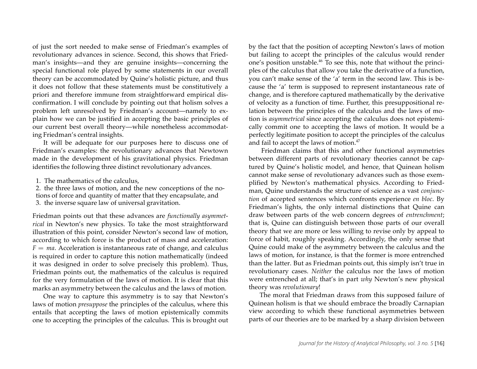of just the sort needed to make sense of Friedman's examples of revolutionary advances in science. Second, this shows that Friedman's insights—and they are genuine insights—concerning the special functional role played by some statements in our overall theory can be accommodated by Quine's holistic picture, and thus it does not follow that these statements must be constitutively a priori and therefore immune from straightforward empirical disconfirmation. I will conclude by pointing out that holism solves a problem left unresolved by Friedman's account—namely to explain how we can be justified in accepting the basic principles of our current best overall theory—while nonetheless accommodating Friedman's central insights.

It will be adequate for our purposes here to discuss one of Friedman's examples: the revolutionary advances that Newtown made in the development of his gravitational physics. Friedman identifies the following three distinct revolutionary advances.

1. The mathematics of the calculus,

2. the three laws of motion, and the new conceptions of the notions of force and quantity of matter that they encapsulate, and 3. the inverse square law of universal gravitation.

Friedman points out that these advances are *functionally asymmetrical* in Newton's new physics. To take the most straightforward illustration of this point, consider Newton's second law of motion, according to which force is the product of mass and acceleration:  $F = ma$ . Acceleration is instantaneous rate of change, and calculus is required in order to capture this notion mathematically (indeed it was designed in order to solve precisely this problem). Thus, Friedman points out, the mathematics of the calculus is required for the very formulation of the laws of motion. It is clear that this marks an asymmetry between the calculus and the laws of motion.

One way to capture this asymmetry is to say that Newton's laws of motion *presuppose* the principles of the calculus, where this entails that accepting the laws of motion epistemically commits one to accepting the principles of the calculus. This is brought out by the fact that the position of accepting Newton's laws of motion but failing to accept the principles of the calculus would render one's position unstable.<sup>46</sup> To see this, note that without the principles of the calculus that allow you take the derivative of a function, you can't make sense of the 'a' term in the second law. This is because the 'a' term is supposed to represent instantaneous rate of change, and is therefore captured mathematically by the derivative of velocity as a function of time. Further, this presuppositional relation between the principles of the calculus and the laws of motion is *asymmetrical* since accepting the calculus does not epistemically commit one to accepting the laws of motion. It would be a perfectly legitimate position to accept the principles of the calculus and fail to accept the laws of motion.<sup>47</sup>

Friedman claims that this and other functional asymmetries between different parts of revolutionary theories cannot be captured by Quine's holistic model, and hence, that Quinean holism cannot make sense of revolutionary advances such as those exemplified by Newton's mathematical physics. According to Friedman, Quine understands the structure of science as a vast *conjunction* of accepted sentences which confronts experience *en bloc*. By Friedman's lights, the only internal distinctions that Quine can draw between parts of the web concern degrees of *entrenchment*; that is, Quine can distinguish between those parts of our overall theory that we are more or less willing to revise only by appeal to force of habit, roughly speaking. Accordingly, the only sense that Quine could make of the asymmetry between the calculus and the laws of motion, for instance, is that the former is more entrenched than the latter. But as Friedman points out, this simply isn't true in revolutionary cases. *Neither* the calculus nor the laws of motion were entrenched at all; that's in part *why* Newton's new physical theory was *revolutionary*!

The moral that Friedman draws from this supposed failure of Quinean holism is that we should embrace the broadly Carnapian view according to which these functional asymmetries between parts of our theories are to be marked by a sharp division between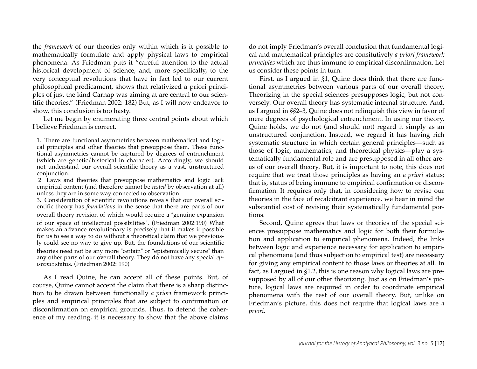the *framework* of our theories only within which is it possible to mathematically formulate and apply physical laws to empirical phenomena. As Friedman puts it "careful attention to the actual historical development of science, and, more specifically, to the very conceptual revolutions that have in fact led to our current philosophical predicament, shows that relativized a priori principles of just the kind Carnap was aiming at are central to our scientific theories." (Friedman 2002: 182) But, as I will now endeavor to show, this conclusion is too hasty.

Let me begin by enumerating three central points about which I believe Friedman is correct.

1. There are functional asymmetries between mathematical and logical principles and other theories that presuppose them. These functional asymmetries cannot be captured by degrees of entrenchment (which are genetic/historical in character). Accordingly, we should not understand our overall scientific theory as a vast, unstructured conjunction.

2. Laws and theories that presuppose mathematics and logic lack empirical content (and therefore cannot be *tested* by observation at all) unless they are in some way connected to observation.

3. Consideration of scientific revolutions reveals that our overall scientific theory has *foundations* in the sense that there are parts of our overall theory revision of which would require a "genuine expansion of our space of intellectual possibilities". (Friedman 2002:190) What makes an advance revolutionary is precisely that it makes it possible for us to see a way to do without a theoretical claim that we previously could see no way to give up. But, the foundations of our scientific theories need not be any more "certain" or "epistemically secure" than any other parts of our overall theory. They do not have any special *epistemic* status. (Friedman 2002: 190)

As I read Quine, he can accept all of these points. But, of course, Quine cannot accept the claim that there is a sharp distinction to be drawn between functionally *a priori* framework principles and empirical principles that are subject to confirmation or disconfirmation on empirical grounds. Thus, to defend the coherence of my reading, it is necessary to show that the above claims

do not imply Friedman's overall conclusion that fundamental logical and mathematical principles are consitutively *a priori framework principles* which are thus immune to empirical disconfirmation. Let us consider these points in turn.

First, as I argued in *§*1, Quine does think that there are functional asymmetries between various parts of our overall theory. Theorizing in the special sciences presupposes logic, but not conversely. Our overall theory has systematic internal structure. And, as I argued in *§§*2–3, Quine does not relinquish this view in favor of mere degrees of psychological entrenchment. In using our theory, Quine holds, we do not (and should not) regard it simply as an unstructured conjunction. Instead, we regard it has having rich systematic structure in which certain general principles—such as those of logic, mathematics, and theoretical physics—play a systematically fundamental role and are presupposed in all other areas of our overall theory. But, it is important to note, this does not require that we treat those principles as having an *a priori* status; that is, status of being immune to empirical confirmation or disconfirmation. It requires only that, in considering how to revise our theories in the face of recalcitrant experience, we bear in mind the substantial cost of revising their systematically fundamental portions.

Second, Quine agrees that laws or theories of the special sciences presuppose mathematics and logic for both their formulation and application to empirical phenomena. Indeed, the links between logic and experience necessary for application to empirical phenomena (and thus subjection to empirical test) are necessary for giving any empirical content to those laws or theories at all. In fact, as I argued in *§*1.2, this is one reason why logical laws are presupposed by all of our other theorizing. Just as on Friedman's picture, logical laws are required in order to coordinate empirical phenomena with the rest of our overall theory. But, unlike on Friedman's picture, this does not require that logical laws are *a priori*.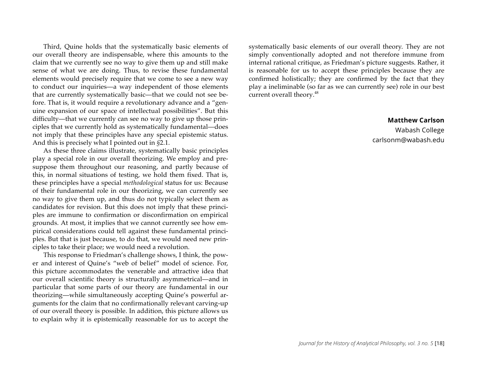Third, Quine holds that the systematically basic elements of our overall theory are indispensable, where this amounts to the claim that we currently see no way to give them up and still make sense of what we are doing. Thus, to revise these fundamental elements would precisely require that we come to see a new way to conduct our inquiries—a way independent of those elements that are currently systematically basic—that we could not see before. That is, it would require a revolutionary advance and a "genuine expansion of our space of intellectual possibilities". But this difficulty—that we currently can see no way to give up those principles that we currently hold as systematically fundamental—does not imply that these principles have any special epistemic status. And this is precisely what I pointed out in *§*2.1.

As these three claims illustrate, systematically basic principles play a special role in our overall theorizing. We employ and presuppose them throughout our reasoning, and partly because of this, in normal situations of testing, we hold them fixed. That is, these principles have a special *methodological* status for us: Because of their fundamental role in our theorizing, we can currently see no way to give them up, and thus do not typically select them as candidates for revision. But this does not imply that these principles are immune to confirmation or disconfirmation on empirical grounds. At most, it implies that we cannot currently see how empirical considerations could tell against these fundamental principles. But that is just because, to do that, we would need new principles to take their place; we would need a revolution.

This response to Friedman's challenge shows, I think, the power and interest of Quine's "web of belief" model of science. For, this picture accommodates the venerable and attractive idea that our overall scientific theory is structurally asymmetrical—and in particular that some parts of our theory are fundamental in our theorizing—while simultaneously accepting Quine's powerful arguments for the claim that no confirmationally relevant carving-up of our overall theory is possible. In addition, this picture allows us to explain why it is epistemically reasonable for us to accept the systematically basic elements of our overall theory. They are not simply conventionally adopted and not therefore immune from internal rational critique, as Friedman's picture suggests. Rather, it is reasonable for us to accept these principles because they are confirmed holistically; they are confirmed by the fact that they play a ineliminable (so far as we can currently see) role in our best current overall theory.<sup>48</sup>

#### **Matthew Carlson**

Wabash College carlsonm@wabash.edu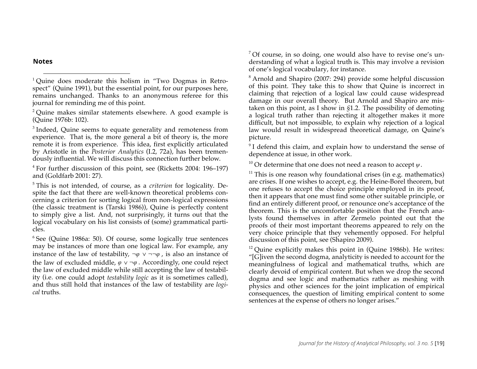**Notes**

 $1$  Ouine does moderate this holism in "Two Dogmas in Retrospect" (Quine 1991), but the essential point, for our purposes here, remains unchanged. Thanks to an anonymous referee for this journal for reminding me of this point.

<sup>2</sup> Quine makes similar statements elsewhere. A good example is (Quine 1976b: 102).

<sup>3</sup> Indeed, Quine seems to equate generality and remoteness from experience. That is, the more general a bit of theory is, the more remote it is from experience. This idea, first explicitly articulated by Aristotle in the *Posterior Analytics* (I.2, 72a), has been tremendously influential. We will discuss this connection further below.

<sup>4</sup> For further discussion of this point, see (Ricketts 2004: 196–197) and (Goldfarb 2001: 27).

<sup>5</sup> This is not intended, of course, as a *criterion* for logicality. Despite the fact that there are well-known theoretical problems concerning a criterion for sorting logical from non-logical expressions (the classic treatment is (Tarski 1986)), Quine is perfectly content to simply give a list. And, not surprisingly, it turns out that the logical vocabulary on his list consists of (some) grammatical particles.

 $6$  See (Quine 1986a: 50). Of course, some logically true sentences may be instances of more than one logical law. For example, any instance of the law of testability,  $\neg \varphi \lor \neg \neg \varphi$ , is also an instance of the law of excluded middle, *φ* ∨ *¬φ* . Accordingly, one could reject the law of excluded middle while still accepting the law of testability (i.e. one could adopt *testability logic* as it is sometimes called), and thus still hold that instances of the law of testability are *logical* truths.

<sup>7</sup> Of course, in so doing, one would also have to revise one's understanding of what a logical truth is. This may involve a revision of one's logical vocabulary, for instance.

<sup>8</sup> Arnold and Shapiro (2007: 294) provide some helpful discussion of this point. They take this to show that Quine is incorrect in claiming that rejection of a logical law could cause widespread damage in our overall theory. But Arnold and Shapiro are mistaken on this point, as I show in *§*1.2. The possibility of demoting a logical truth rather than rejecting it altogether makes it more difficult, but not impossible, to explain why rejection of a logical law would result in widespread theoretical damage, on Quine's picture.

<sup>9</sup> I defend this claim, and explain how to understand the sense of dependence at issue, in other work.

<sup>10</sup> Or determine that one does not need a reason to accept *ψ*.

 $11$  This is one reason why foundational crises (in e.g. mathematics) are crises. If one wishes to accept, e.g. the Heine-Borel theorem, but one refuses to accept the choice principle employed in its proof, then it appears that one must find some other suitable principle, or find an entirely different proof, or renounce one's acceptance of the theorem. This is the uncomfortable position that the French analysts found themselves in after Zermelo pointed out that the proofs of their most important theorems appeared to rely on the very choice principle that they vehemently opposed. For helpful discussion of this point, see (Shapiro 2009).

 $12$  Quine explicitly makes this point in (Quine 1986b). He writes: "[G]iven the second dogma, analyticity is needed to account for the meaningfulness of logical and mathematical truths, which are clearly devoid of empirical content. But when we drop the second dogma and see logic and mathematics rather as meshing with physics and other sciences for the joint implication of empirical consequences, the question of limiting empirical content to some sentences at the expense of others no longer arises."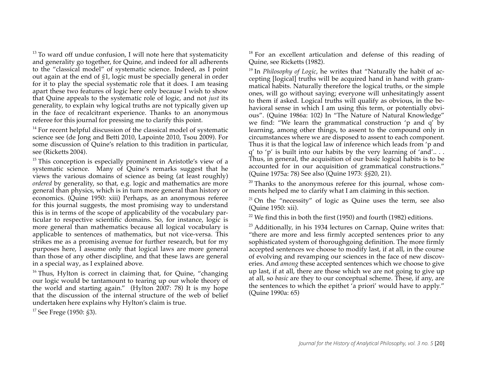$13$  To ward off undue confusion, I will note here that systematicity and generality go together, for Quine, and indeed for all adherents to the "classical model" of systematic science. Indeed, as I point out again at the end of *§*1, logic must be specially general in order for it to play the special systematic role that it does. I am teasing apart these two features of logic here only because I wish to show that Quine appeals to the systematic role of logic, and not *just* its generality, to explain why logical truths are not typically given up in the face of recalcitrant experience. Thanks to an anonymous referee for this journal for pressing me to clarify this point.

 $14$  For recent helpful discussion of the classical model of systematic science see (de Jong and Betti 2010, Lapointe 2010, Tsou 2009). For some discussion of Quine's relation to this tradition in particular, see (Ricketts 2004).

<sup>15</sup> This conception is especially prominent in Aristotle's view of a systematic science. Many of Quine's remarks suggest that he views the various domains of science as being (at least roughly) *ordered* by generality, so that, e.g. logic and mathematics are more general than physics, which is in turn more general than history or economics. (Quine 1950: xiii) Perhaps, as an anonymous referee for this journal suggests, the most promising way to understand this is in terms of the scope of applicability of the vocabulary particular to respective scientific domains. So, for instance, logic is more general than mathematics because all logical vocabulary is applicable to sentences of mathematics, but not vice-versa. This strikes me as a promising avenue for further research, but for my purposes here, I assume only that logical laws are more general than those of any other discipline, and that these laws are general in a special way, as I explained above.

 $16$  Thus, Hylton is correct in claiming that, for Quine, "changing our logic would be tantamount to tearing up our whole theory of the world and starting again." (Hylton 2007: 78) It is my hope that the discussion of the internal structure of the web of belief undertaken here explains why Hylton's claim is true.

<sup>17</sup> See Frege (1950: *§*3).

<sup>18</sup> For an excellent articulation and defense of this reading of Quine, see Ricketts (1982).

<sup>19</sup> In *Philosophy of Logic*, he writes that "Naturally the habit of accepting [logical] truths will be acquired hand in hand with grammatical habits. Naturally therefore the logical truths, or the simple ones, will go without saying; everyone will unhesitatingly assent to them if asked. Logical truths will qualify as obvious, in the behavioral sense in which I am using this term, or potentially obvious". (Quine 1986a: 102) In "The Nature of Natural Knowledge" we find: "We learn the grammatical construction 'p and q' by learning, among other things, to assent to the compound only in circumstances where we are disposed to assent to each component. Thus it is that the logical law of inference which leads from 'p and q' to 'p' is built into our habits by the very learning of 'and'.. . . Thus, in general, the acquisition of our basic logical habits is to be accounted for in our acquisition of grammatical constructions." (Quine 1975a: 78) See also (Quine 1973: *§§*20, 21).

 $20$  Thanks to the anonymous referee for this journal, whose comments helped me to clarify what I am claiming in this section.

 $21$  On the "necessity" of logic as Quine uses the term, see also (Quine 1950: xii).

<sup>22</sup> We find this in both the first (1950) and fourth (1982) editions.

 $23$  Additionally, in his 1934 lectures on Carnap, Quine writes that: "there are more and less firmly accepted sentences prior to any sophisticated system of thoroughgoing definition. The more firmly accepted sentences we choose to modify last, if at all, in the course of evolving and revamping our sciences in the face of new discoveries. And *among* these accepted sentences which we choose to give up last, if at all, there are those which we are not going to give up at all, so *basic* are they to our conceptual scheme. These, if any, are the sentences to which the epithet 'a priori' would have to apply." (Quine 1990a: 65)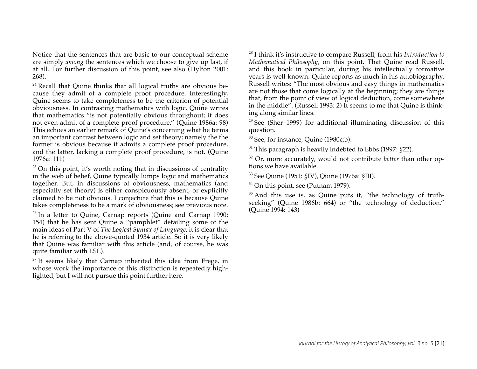Notice that the sentences that are basic to our conceptual scheme are simply *among* the sentences which we choose to give up last, if at all. For further discussion of this point, see also (Hylton 2001: 268).

<sup>24</sup> Recall that Quine thinks that all logical truths are obvious because they admit of a complete proof procedure. Interestingly, Quine seems to take completeness to be the criterion of potential obviousness. In contrasting mathematics with logic, Quine writes that mathematics "is not potentially obvious throughout; it does not even admit of a complete proof procedure." (Quine 1986a: 98) This echoes an earlier remark of Quine's concerning what he terms an important contrast between logic and set theory; namely the the former is obvious because it admits a complete proof procedure, and the latter, lacking a complete proof procedure, is not. (Quine 1976a: 111)

 $25$  On this point, it's worth noting that in discussions of centrality in the web of belief, Quine typically lumps logic and mathematics together. But, in discussions of obviousness, mathematics (and especially set theory) is either conspicuously absent, or explicitly claimed to be not obvious. I conjecture that this is because Quine takes completeness to be a mark of obviousness; see previous note.

 $26$  In a letter to Quine, Carnap reports (Quine and Carnap 1990: 154) that he has sent Quine a "pamphlet" detailing some of the main ideas of Part V of *The Logical Syntax of Language*; it is clear that he is referring to the above-quoted 1934 article. So it is very likely that Quine was familiar with this article (and, of course, he was quite familiar with LSL).

 $27$  It seems likely that Carnap inherited this idea from Frege, in whose work the importance of this distinction is repeatedly highlighted, but I will not pursue this point further here.

<sup>28</sup> I think it's instructive to compare Russell, from his *Introduction to Mathematical Philosophy*, on this point. That Quine read Russell, and this book in particular, during his intellectually formative years is well-known. Quine reports as much in his autobiography. Russell writes: "The most obvious and easy things in mathematics are not those that come logically at the beginning; they are things that, from the point of view of logical deduction, come somewhere in the middle". (Russell 1993: 2) It seems to me that Quine is thinking along similar lines.

 $29$  See (Sher 1999) for additional illuminating discussion of this question.

<sup>30</sup> See, for instance, Quine (1980c;b).

<sup>31</sup> This paragraph is heavily indebted to Ebbs (1997: *§*22).

<sup>32</sup> Or, more accurately, would not contribute *better* than other options we have available.

<sup>33</sup> See Quine (1951: *§*IV), Quine (1976a: *§*III).

<sup>34</sup> On this point, see (Putnam 1979).

 $35$  And this use is, as Quine puts it, "the technology of truthseeking" (Quine 1986b: 664) or "the technology of deduction." (Quine 1994: 143)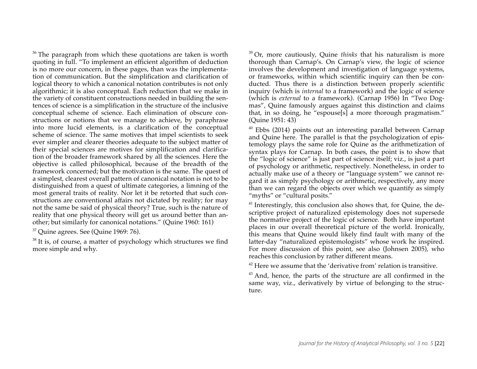$36$  The paragraph from which these quotations are taken is worth quoting in full. "To implement an efficient algorithm of deduction is no more our concern, in these pages, than was the implementation of communication. But the simplification and clarification of logical theory to which a canonical notation contributes is not only algorithmic; it is also conceptual. Each reduction that we make in the variety of constituent constructions needed in building the sentences of science is a simplification in the structure of the inclusive conceptual scheme of science. Each elimination of obscure constructions or notions that we manage to achieve, by paraphrase into more lucid elements, is a clarification of the conceptual scheme of science. The same motives that impel scientists to seek ever simpler and clearer theories adequate to the subject matter of their special sciences are motives for simplification and clarification of the broader framework shared by all the sciences. Here the objective is called philosophical, because of the breadth of the framework concerned; but the motivation is the same. The quest of a simplest, clearest overall pattern of canonical notation is not to be distinguished from a quest of ultimate categories, a limning of the most general traits of reality. Nor let it be retorted that such constructions are conventional affairs not dictated by reality; for may not the same be said of physical theory? True, such is the nature of reality that one physical theory will get us around better than another; but similarly for canonical notations." (Quine 1960: 161)

<sup>37</sup> Quine agrees. See (Quine 1969: 76).

 $38$  It is, of course, a matter of psychology which structures we find more simple and why.

<sup>39</sup> Or, more cautiously, Quine *thinks* that his naturalism is more thorough than Carnap's. On Carnap's view, the logic of science involves the development and investigation of language systems, or frameworks, within which scientific inquiry can then be conducted. Thus there is a distinction between properly scientific inquiry (which is *internal* to a framework) and the logic of science (which is *external* to a framework). (Carnap 1956) In "Two Dogmas", Quine famously argues against this distinction and claims that, in so doing, he "espouse[s] a more thorough pragmatism." (Quine 1951: 43)

<sup>40</sup> Ebbs (2014) points out an interesting parallel between Carnap and Quine here. The parallel is that the psychologization of epistemology plays the same role for Quine as the arithmetization of syntax plays for Carnap. In both cases, the point is to show that the "logic of science" is just part of science itself; viz., is just a part of psychology or arithmetic, respectively. Nonetheless, in order to actually make use of a theory or "language system" we cannot regard it as simply psychology or arithmetic, respectively, any more than we can regard the objects over which we quantify as simply "myths" or "cultural posits."

<sup>41</sup> Interestingly, this conclusion also shows that, for Quine, the descriptive project of naturalized epistemology does not supersede the normative project of the logic of science. Both have important places in our overall theoretical picture of the world. Ironically, this means that Quine would likely find fault with many of the latter-day "naturalized epistemologists" whose work he inspired. For more discussion of this point, see also (Johnsen 2005), who reaches this conclusion by rather different means.

 $42$  Here we assume that the 'derivative from' relation is transitive.

<sup>43</sup> And, hence, the parts of the structure are all confirmed in the same way, viz., derivatively by virtue of belonging to the structure.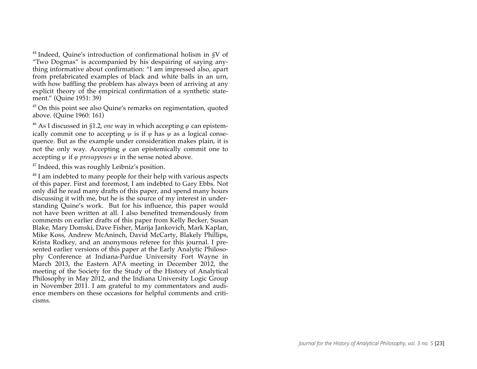<sup>44</sup> Indeed, Quine's introduction of confirmational holism in *§*V of "Two Dogmas" is accompanied by his despairing of saying anything informative about confirmation: "I am impressed also, apart from prefabricated examples of black and white balls in an urn, with how baffling the problem has always been of arriving at any explicit theory of the empirical confirmation of a synthetic statement." (Quine 1951: 39)

<sup>45</sup> On this point see also Quine's remarks on regimentation, quoted above. (Quine 1960: 161)

<sup>46</sup> As I discussed in *§*1.2, *one* way in which accepting *φ* can epistemically commit one to accepting  $\psi$  is if  $\varphi$  has  $\psi$  as a logical consequence. But as the example under consideration makes plain, it is not the only way. Accepting *φ* can epistemically commit one to accepting  $\psi$  if  $\varphi$  *presupposes*  $\psi$  in the sense noted above.

<sup>47</sup> Indeed, this was roughly Leibniz's position.

 $48$  I am indebted to many people for their help with various aspects of this paper. First and foremost, I am indebted to Gary Ebbs. Not only did he read many drafts of this paper, and spend many hours discussing it with me, but he is the source of my interest in understanding Quine's work. But for his influence, this paper would not have been written at all. I also benefited tremendously from comments on earlier drafts of this paper from Kelly Becker, Susan Blake, Mary Domski, Dave Fisher, Marija Jankovich, Mark Kaplan, Mike Koss, Andrew McAninch, David McCarty, Blakely Phillips, Krista Rodkey, and an anonymous referee for this journal. I presented earlier versions of this paper at the Early Analytic Philosophy Conference at Indiana-Purdue University Fort Wayne in March 2013, the Eastern APA meeting in December 2012, the meeting of the Society for the Study of the History of Analytical Philosophy in May 2012, and the Indiana University Logic Group in November 2011. I am grateful to my commentators and audience members on these occasions for helpful comments and criticisms.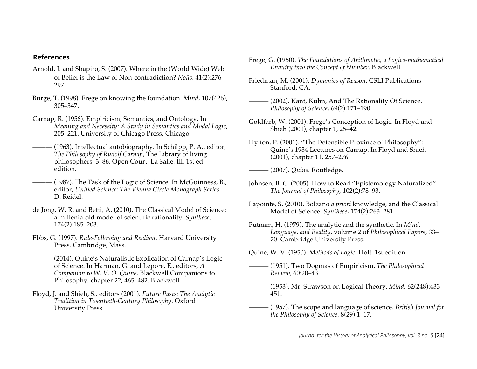#### **References**

- Arnold, J. and Shapiro, S. (2007). Where in the (World Wide) Web of Belief is the Law of Non-contradiction? *Noûs*, 41(2):276– 297.
- Burge, T. (1998). Frege on knowing the foundation. *Mind*, 107(426), 305–347.
- Carnap, R. (1956). Empiricism, Semantics, and Ontology. In *Meaning and Necessity: A Study in Semantics and Modal Logic*, 205–221. University of Chicago Press, Chicago.
- (1963). Intellectual autobiography. In Schilpp, P. A., editor, *The Philosophy of Rudolf Carnap*, The Library of living philosophers, 3–86. Open Court, La Salle, Ill, 1st ed. edition.
- $-$  (1987). The Task of the Logic of Science. In McGuinness, B., editor, *Unified Science: The Vienna Circle Monograph Series*. D. Reidel.
- de Jong, W. R. and Betti, A. (2010). The Classical Model of Science: a millenia-old model of scientific rationality. *Synthese*, 174(2):185–203.
- Ebbs, G. (1997). *Rule-Following and Realism*. Harvard University Press, Cambridge, Mass.
- (2014). Quine's Naturalistic Explication of Carnap's Logic of Science. In Harman, G. and Lepore, E., editors, *A Companion to W. V. O. Quine*, Blackwell Companions to Philosophy, chapter 22, 465–482. Blackwell.
- Floyd, J. and Shieh, S., editors (2001). *Future Pasts: The Analytic Tradition in Twentieth-Century Philosophy*. Oxford University Press.
- Frege, G. (1950). *The Foundations of Arithmetic; a Logico-mathematical Enquiry into the Concept of Number*. Blackwell.
- Friedman, M. (2001). *Dynamics of Reason*. CSLI Publications Stanford, CA.
- $-$  (2002). Kant, Kuhn, And The Rationality Of Science. *Philosophy of Science*, 69(2):171–190.
- Goldfarb, W. (2001). Frege's Conception of Logic. In Floyd and Shieh (2001), chapter 1, 25–42.
- Hylton, P. (2001). "The Defensible Province of Philosophy": Quine's 1934 Lectures on Carnap. In Floyd and Shieh (2001), chapter 11, 257–276.
- ——— (2007). *Quine*. Routledge.
- Johnsen, B. C. (2005). How to Read "Epistemology Naturalized". *The Journal of Philosophy*, 102(2):78–93.
- Lapointe, S. (2010). Bolzano *a priori* knowledge, and the Classical Model of Science. *Synthese*, 174(2):263–281.
- Putnam, H. (1979). The analytic and the synthetic. In *Mind, Language, and Reality*, volume 2 of *Philosophical Papers*, 33– 70. Cambridge University Press.
- Quine, W. V. (1950). *Methods of Logic*. Holt, 1st edition.
- ——— (1951). Two Dogmas of Empiricism. *The Philosophical Review*, 60:20–43.
- ——— (1953). Mr. Strawson on Logical Theory. *Mind*, 62(248):433– 451.
- ——— (1957). The scope and language of science. *British Journal for the Philosophy of Science*, 8(29):1–17.

*Journal for the History of Analytical Philosophy, vol. 3 no. 5* [24]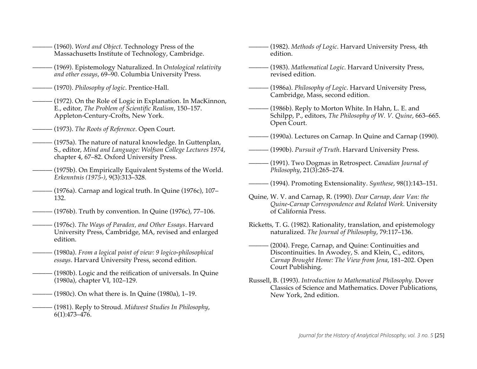- ——— (1960). *Word and Object*. Technology Press of the Massachusetts Institute of Technology, Cambridge.
- ——— (1969). Epistemology Naturalized. In *Ontological relativity and other essays*, 69–90. Columbia University Press.
- ——— (1970). *Philosophy of logic*. Prentice-Hall.
- (1972). On the Role of Logic in Explanation. In MacKinnon, E., editor, *The Problem of Scientific Realism*, 150–157. Appleton-Century-Crofts, New York.
- ——— (1973). *The Roots of Reference*. Open Court.
- $-$  (1975a). The nature of natural knowledge. In Guttenplan, S., editor, *Mind and Language: Wolfson College Lectures 1974*, chapter 4, 67–82. Oxford University Press.
- $-$  (1975b). On Empirically Equivalent Systems of the World. *Erkenntnis (1975-)*, 9(3):313–328.
- $-$  (1976a). Carnap and logical truth. In Quine (1976c), 107– 132.
- (1976b). Truth by convention. In Quine (1976c), 77–106.
- ——— (1976c). *The Ways of Paradox, and Other Essays*. Harvard University Press, Cambridge, MA, revised and enlarged edition.
- ——— (1980a). *From a logical point of view: 9 logico-philosophical essays*. Harvard University Press, second edition.
- (1980b). Logic and the reification of universals. In Quine (1980a), chapter VI, 102–129.
- $-$  (1980c). On what there is. In Quine (1980a), 1–19.
- ——— (1981). Reply to Stroud. *Midwest Studies In Philosophy*, 6(1):473–476.
- $-$  (1982). *Methods of Logic*. Harvard University Press, 4th edition.
- ——— (1983). *Mathematical Logic*. Harvard University Press, revised edition.
- ——— (1986a). *Philosophy of Logic*. Harvard University Press, Cambridge, Mass, second edition.
- $-$  (1986b). Reply to Morton White. In Hahn, L. E. and Schilpp, P., editors, *The Philosophy of W. V. Quine*, 663–665. Open Court.
- $-$  (1990a). Lectures on Carnap. In Quine and Carnap (1990).
- ——— (1990b). *Pursuit of Truth*. Harvard University Press.
- ——— (1991). Two Dogmas in Retrospect. *Canadian Journal of Philosophy*, 21(3):265–274.
- ——— (1994). Promoting Extensionality. *Synthese*, 98(1):143–151.
- Quine, W. V. and Carnap, R. (1990). *Dear Carnap, dear Van: the Quine-Carnap Correspondence and Related Work*. University of California Press.
- Ricketts, T. G. (1982). Rationality, translation, and epistemology naturalized. *The Journal of Philosophy*, 79:117–136.
- ——— (2004). Frege, Carnap, and Quine: Continuities and Discontinuities. In Awodey, S. and Klein, C., editors, *Carnap Brought Home: The View from Jena*, 181–202. Open Court Publishing.
- Russell, B. (1993). *Introduction to Mathematical Philosophy*. Dover Classics of Science and Mathematics. Dover Publications, New York, 2nd edition.